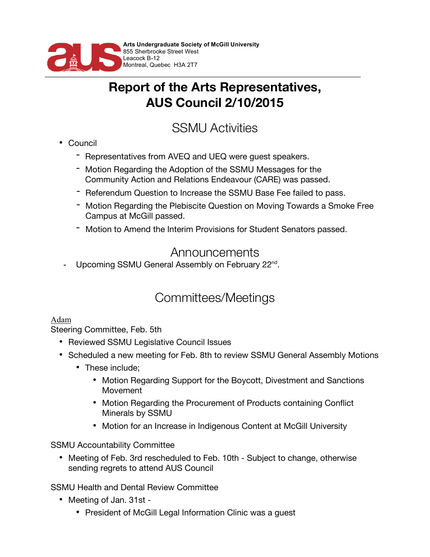

## **Report of the Arts Representatives, AUS Council 2/10/2015**

# SSMU Activities

- Council
	- Representatives from AVEQ and UEQ were guest speakers.
	- Motion Regarding the Adoption of the SSMU Messages for the Community Action and Relations Endeavour (CARE) was passed.
	- Referendum Question to Increase the SSMU Base Fee failed to pass.
	- Motion Regarding the Plebiscite Question on Moving Towards a Smoke Free Campus at McGill passed.
	- Motion to Amend the Interim Provisions for Student Senators passed.

### Announcements

- Upcoming SSMU General Assembly on February 22<sup>nd</sup>.

## Committees/Meetings

#### Adam

Steering Committee, Feb. 5th

- Reviewed SSMU Legislative Council Issues
- Scheduled a new meeting for Feb. 8th to review SSMU General Assembly Motions
	- These include;
		- Motion Regarding Support for the Boycott, Divestment and Sanctions Movement
		- Motion Regarding the Procurement of Products containing Conflict Minerals by SSMU
		- Motion for an Increase in Indigenous Content at McGill University

SSMU Accountability Committee

• Meeting of Feb. 3rd rescheduled to Feb. 10th - Subject to change, otherwise sending regrets to attend AUS Council

SSMU Health and Dental Review Committee

- Meeting of Jan. 31st
	- President of McGill Legal Information Clinic was a guest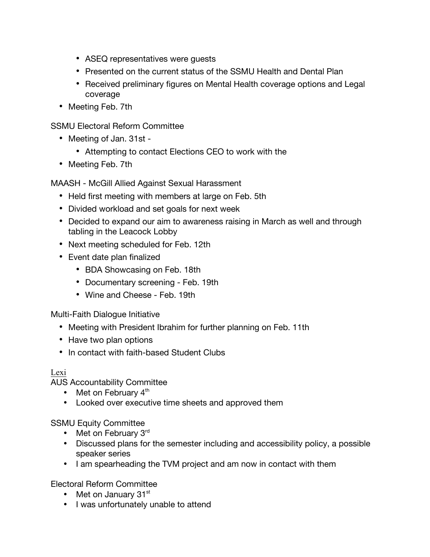- ASEQ representatives were guests
- Presented on the current status of the SSMU Health and Dental Plan
- Received preliminary figures on Mental Health coverage options and Legal coverage
- Meeting Feb. 7th

SSMU Electoral Reform Committee

- Meeting of Jan. 31st
	- Attempting to contact Elections CEO to work with the
- Meeting Feb. 7th

MAASH - McGill Allied Against Sexual Harassment

- Held first meeting with members at large on Feb. 5th
- Divided workload and set goals for next week
- Decided to expand our aim to awareness raising in March as well and through tabling in the Leacock Lobby
- Next meeting scheduled for Feb. 12th
- Event date plan finalized
	- BDA Showcasing on Feb. 18th
	- Documentary screening Feb. 19th
	- Wine and Cheese Feb. 19th

Multi-Faith Dialogue Initiative

- Meeting with President Ibrahim for further planning on Feb. 11th
- Have two plan options
- In contact with faith-based Student Clubs

#### Lexi

AUS Accountability Committee

- Met on February  $4<sup>th</sup>$
- Looked over executive time sheets and approved them

SSMU Equity Committee

- Met on February 3rd
- Discussed plans for the semester including and accessibility policy, a possible speaker series
- I am spearheading the TVM project and am now in contact with them

Electoral Reform Committee

- Met on January  $31<sup>st</sup>$
- I was unfortunately unable to attend